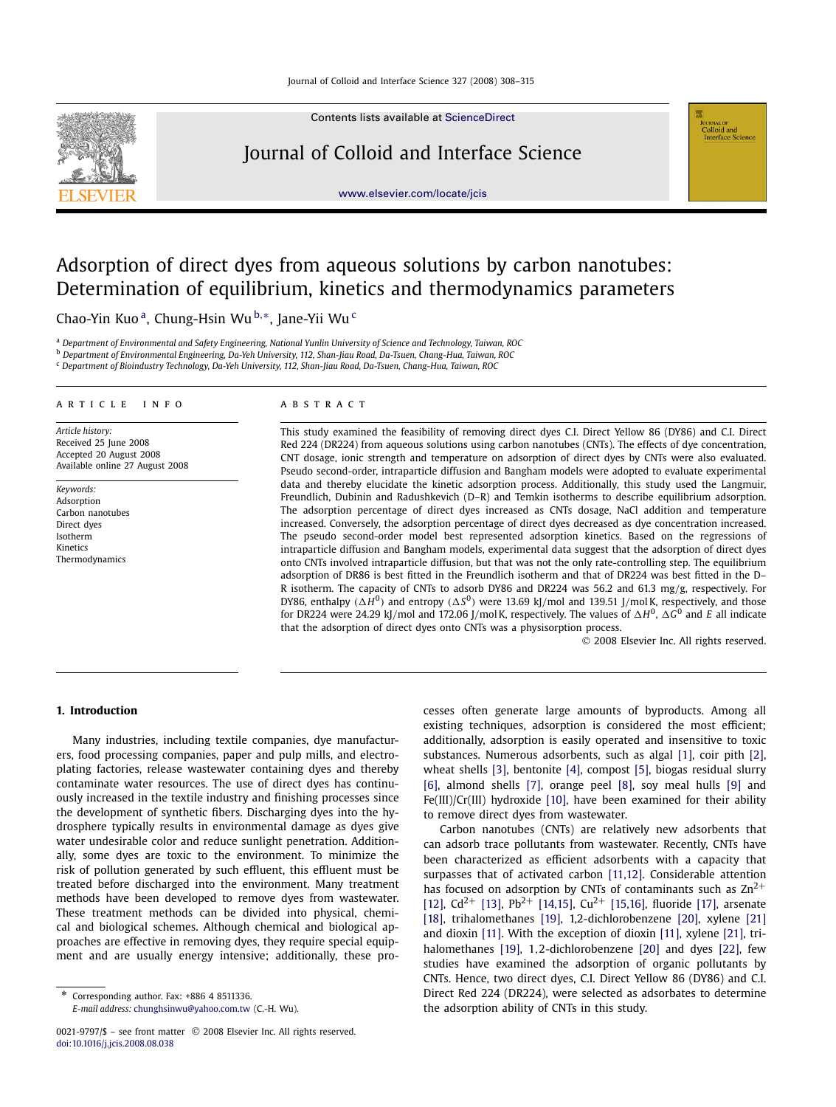

Contents lists available at [ScienceDirect](http://www.ScienceDirect.com/)

## Journal of Colloid and Interface Science

[www.elsevier.com/locate/jcis](http://www.elsevier.com/locate/jcis)

# Adsorption of direct dyes from aqueous solutions by carbon nanotubes: Determination of equilibrium, kinetics and thermodynamics parameters

Chao-Yin Kuo a, Chung-Hsin Wu <sup>b</sup>*,*∗, Jane-Yii Wu <sup>c</sup>

<sup>a</sup> *Department of Environmental and Safety Engineering, National Yunlin University of Science and Technology, Taiwan, ROC*

<sup>b</sup> *Department of Environmental Engineering, Da-Yeh University, 112, Shan-Jiau Road, Da-Tsuen, Chang-Hua, Taiwan, ROC*

<sup>c</sup> *Department of Bioindustry Technology, Da-Yeh University, 112, Shan-Jiau Road, Da-Tsuen, Chang-Hua, Taiwan, ROC*

#### article info abstract

*Article history:* Received 25 June 2008 Accepted 20 August 2008 Available online 27 August 2008

*Keywords:* Adsorption Carbon nanotubes Direct dyes Isotherm Kinetics Thermodynamics

This study examined the feasibility of removing direct dyes C.I. Direct Yellow 86 (DY86) and C.I. Direct Red 224 (DR224) from aqueous solutions using carbon nanotubes (CNTs). The effects of dye concentration, CNT dosage, ionic strength and temperature on adsorption of direct dyes by CNTs were also evaluated. Pseudo second-order, intraparticle diffusion and Bangham models were adopted to evaluate experimental data and thereby elucidate the kinetic adsorption process. Additionally, this study used the Langmuir, Freundlich, Dubinin and Radushkevich (D–R) and Temkin isotherms to describe equilibrium adsorption. The adsorption percentage of direct dyes increased as CNTs dosage, NaCl addition and temperature increased. Conversely, the adsorption percentage of direct dyes decreased as dye concentration increased. The pseudo second-order model best represented adsorption kinetics. Based on the regressions of intraparticle diffusion and Bangham models, experimental data suggest that the adsorption of direct dyes onto CNTs involved intraparticle diffusion, but that was not the only rate-controlling step. The equilibrium adsorption of DR86 is best fitted in the Freundlich isotherm and that of DR224 was best fitted in the D– R isotherm. The capacity of CNTs to adsorb DY86 and DR224 was 56.2 and 61.3 mg*/*g, respectively. For DY86, enthalpy  $(\Delta H^0)$  and entropy  $(\Delta S^0)$  were 13.69 kJ/mol and 139.51 J/mol K, respectively, and those for DR224 were 24.29 kJ/mol and 172.06 J/mol K, respectively. The values of  $\Delta H^0$ ,  $\Delta G^0$  and *E* all indicate that the adsorption of direct dyes onto CNTs was a physisorption process.

© 2008 Elsevier Inc. All rights reserved.

Colloid and<br>Interface Science

### **1. Introduction**

Many industries, including textile companies, dye manufacturers, food processing companies, paper and pulp mills, and electroplating factories, release wastewater containing dyes and thereby contaminate water resources. The use of direct dyes has continuously increased in the textile industry and finishing processes since the development of synthetic fibers. Discharging dyes into the hydrosphere typically results in environmental damage as dyes give water undesirable color and reduce sunlight penetration. Additionally, some dyes are toxic to the environment. To minimize the risk of pollution generated by such effluent, this effluent must be treated before discharged into the environment. Many treatment methods have been developed to remove dyes from wastewater. These treatment methods can be divided into physical, chemical and biological schemes. Although chemical and biological approaches are effective in removing dyes, they require special equipment and are usually energy intensive; additionally, these processes often generate large amounts of byproducts. Among all existing techniques, adsorption is considered the most efficient; additionally, adsorption is easily operated and insensitive to toxic substances. Numerous adsorbents, such as algal [\[1\],](#page-6-0) coir pith [\[2\],](#page-6-0) wheat shells [\[3\],](#page-6-0) bentonite [\[4\],](#page-6-0) compost [\[5\],](#page-7-0) biogas residual slurry [\[6\],](#page-7-0) almond shells [\[7\],](#page-7-0) orange peel [\[8\],](#page-7-0) soy meal hulls [\[9\]](#page-7-0) and Fe(III)/Cr(III) hydroxide [\[10\],](#page-7-0) have been examined for their ability to remove direct dyes from wastewater.

Carbon nanotubes (CNTs) are relatively new adsorbents that can adsorb trace pollutants from wastewater. Recently, CNTs have been characterized as efficient adsorbents with a capacity that surpasses that of activated carbon [\[11,12\].](#page-7-0) Considerable attention has focused on adsorption by CNTs of contaminants such as  $\text{Zn}^{2+}$ [\[12\],](#page-7-0) Cd<sup>2+</sup> [\[13\],](#page-7-0) Pb<sup>2+</sup> [\[14,15\],](#page-7-0) Cu<sup>2+</sup> [\[15,16\],](#page-7-0) fluoride [\[17\],](#page-7-0) arsenate [\[18\],](#page-7-0) trihalomethanes [\[19\],](#page-7-0) 1,2-dichlorobenzene [\[20\],](#page-7-0) xylene [\[21\]](#page-7-0) and dioxin [\[11\].](#page-7-0) With the exception of dioxin [\[11\],](#page-7-0) xylene [\[21\],](#page-7-0) trihalomethanes [\[19\],](#page-7-0) 1*,*2-dichlorobenzene [\[20\]](#page-7-0) and dyes [\[22\],](#page-7-0) few studies have examined the adsorption of organic pollutants by CNTs. Hence, two direct dyes, C.I. Direct Yellow 86 (DY86) and C.I. Direct Red 224 (DR224), were selected as adsorbates to determine the adsorption ability of CNTs in this study.

Corresponding author. Fax: +886 4 8511336. *E-mail address:* [chunghsinwu@yahoo.com.tw](mailto:chunghsinwu@yahoo.com.tw) (C.-H. Wu).

<sup>0021-9797/\$ –</sup> see front matter © 2008 Elsevier Inc. All rights reserved. [doi:10.1016/j.jcis.2008.08.038](http://dx.doi.org/10.1016/j.jcis.2008.08.038)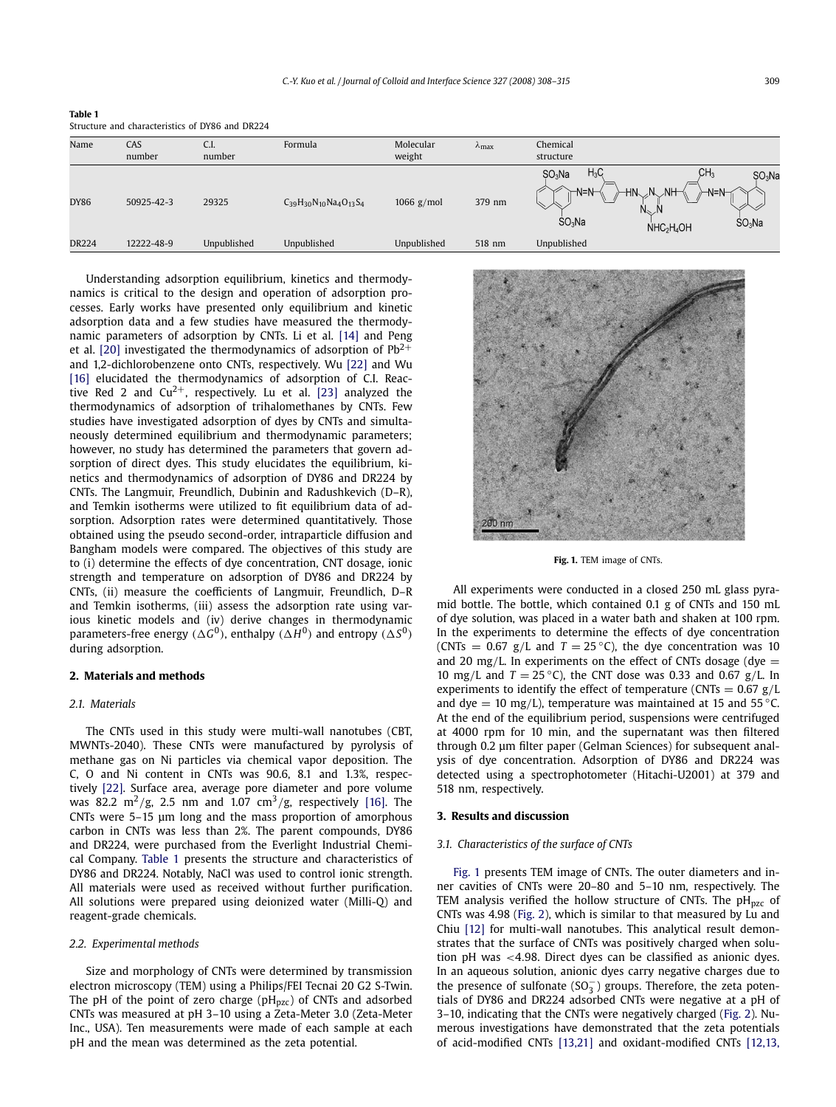| Table 1 |                                                 |  |  |
|---------|-------------------------------------------------|--|--|
|         | Structure and characteristics of DY86 and DR224 |  |  |

| Name         | CAS<br>number | C.I.<br>number | Formula                           | Molecular<br>weight | $\lambda$ <sub>max</sub> | Chemical<br>structure                                                                                                                                                                                              |
|--------------|---------------|----------------|-----------------------------------|---------------------|--------------------------|--------------------------------------------------------------------------------------------------------------------------------------------------------------------------------------------------------------------|
| <b>DY86</b>  | 50925-42-3    | 29325          | $C_{39}H_{30}N_{10}Na_4O_{13}S_4$ | 1066 $g/mol$        | 379 nm                   | CH <sub>3</sub><br>$H_3C_3$<br>SO <sub>3</sub> Na<br>SO <sub>3</sub> Na<br>N.<br>⊤N=N⊣<br>$NH-$<br>HN.<br>$-N=N$<br>$N_{\infty}$<br>SO <sub>3</sub> Na<br>SO <sub>3</sub> Na<br>NHC <sub>2</sub> H <sub>4</sub> OH |
| <b>DR224</b> | 12222-48-9    | Unpublished    | Unpublished                       | Unpublished         | 518 nm                   | Unpublished                                                                                                                                                                                                        |

Understanding adsorption equilibrium, kinetics and thermodynamics is critical to the design and operation of adsorption processes. Early works have presented only equilibrium and kinetic adsorption data and a few studies have measured the thermodynamic parameters of adsorption by CNTs. Li et al. [\[14\]](#page-7-0) and Peng et al. [\[20\]](#page-7-0) investigated the thermodynamics of adsorption of  $Pb^{2+}$ and 1,2-dichlorobenzene onto CNTs, respectively. Wu [\[22\]](#page-7-0) and Wu [\[16\]](#page-7-0) elucidated the thermodynamics of adsorption of C.I. Reactive Red 2 and  $Cu^{2+}$ , respectively. Lu et al. [\[23\]](#page-7-0) analyzed the thermodynamics of adsorption of trihalomethanes by CNTs. Few studies have investigated adsorption of dyes by CNTs and simultaneously determined equilibrium and thermodynamic parameters; however, no study has determined the parameters that govern adsorption of direct dyes. This study elucidates the equilibrium, kinetics and thermodynamics of adsorption of DY86 and DR224 by CNTs. The Langmuir, Freundlich, Dubinin and Radushkevich (D–R), and Temkin isotherms were utilized to fit equilibrium data of adsorption. Adsorption rates were determined quantitatively. Those obtained using the pseudo second-order, intraparticle diffusion and Bangham models were compared. The objectives of this study are to (i) determine the effects of dye concentration, CNT dosage, ionic strength and temperature on adsorption of DY86 and DR224 by CNTs, (ii) measure the coefficients of Langmuir, Freundlich, D–R and Temkin isotherms, (iii) assess the adsorption rate using various kinetic models and (iv) derive changes in thermodynamic parameters-free energy  $(\Delta G^0)$ , enthalpy  $(\Delta H^0)$  and entropy  $(\Delta S^0)$ during adsorption.

#### **2. Materials and methods**

#### *2.1. Materials*

The CNTs used in this study were multi-wall nanotubes (CBT, MWNTs-2040). These CNTs were manufactured by pyrolysis of methane gas on Ni particles via chemical vapor deposition. The C, O and Ni content in CNTs was 90.6, 8.1 and 1.3%, respectively [\[22\].](#page-7-0) Surface area, average pore diameter and pore volume was 82.2 m<sup>2</sup>/g, 2.5 nm and 1.07 cm<sup>3</sup>/g, respectively [\[16\].](#page-7-0) The CNTs were 5–15 μm long and the mass proportion of amorphous carbon in CNTs was less than 2%. The parent compounds, DY86 and DR224, were purchased from the Everlight Industrial Chemical Company. Table 1 presents the structure and characteristics of DY86 and DR224. Notably, NaCl was used to control ionic strength. All materials were used as received without further purification. All solutions were prepared using deionized water (Milli-Q) and reagent-grade chemicals.

#### *2.2. Experimental methods*

Size and morphology of CNTs were determined by transmission electron microscopy (TEM) using a Philips/FEI Tecnai 20 G2 S-Twin. The pH of the point of zero charge ( $pH_{pzc}$ ) of CNTs and adsorbed CNTs was measured at pH 3–10 using a Zeta-Meter 3.0 (Zeta-Meter Inc., USA). Ten measurements were made of each sample at each pH and the mean was determined as the zeta potential.



**Fig. 1.** TEM image of CNTs.

All experiments were conducted in a closed 250 mL glass pyramid bottle. The bottle, which contained 0.1 g of CNTs and 150 mL of dye solution, was placed in a water bath and shaken at 100 rpm. In the experiments to determine the effects of dye concentration (CNTs =  $0.67$  g/L and  $T = 25$ °C), the dye concentration was 10 and 20 mg/L. In experiments on the effect of CNTs dosage (dye  $=$ 10 mg*/*L and *T* = 25 ◦C), the CNT dose was 0.33 and 0.67 g*/*L. In experiments to identify the effect of temperature (CNTs  $= 0.67$  g/L and dye  $= 10$  mg/L), temperature was maintained at 15 and 55  $\degree$ C. At the end of the equilibrium period, suspensions were centrifuged at 4000 rpm for 10 min, and the supernatant was then filtered through 0.2 μm filter paper (Gelman Sciences) for subsequent analysis of dye concentration. Adsorption of DY86 and DR224 was detected using a spectrophotometer (Hitachi-U2001) at 379 and 518 nm, respectively.

#### **3. Results and discussion**

#### *3.1. Characteristics of the surface of CNTs*

Fig. 1 presents TEM image of CNTs. The outer diameters and inner cavities of CNTs were 20–80 and 5–10 nm, respectively. The TEM analysis verified the hollow structure of CNTs. The  $pH_{pzc}$  of CNTs was 4.98 [\(Fig. 2\)](#page-2-0), which is similar to that measured by Lu and Chiu [\[12\]](#page-7-0) for multi-wall nanotubes. This analytical result demonstrates that the surface of CNTs was positively charged when solution pH was *<*4*.*98. Direct dyes can be classified as anionic dyes. In an aqueous solution, anionic dyes carry negative charges due to the presence of sulfonate  $(SO_3^-)$  groups. Therefore, the zeta potentials of DY86 and DR224 adsorbed CNTs were negative at a pH of 3–10, indicating that the CNTs were negatively charged [\(Fig. 2\)](#page-2-0). Numerous investigations have demonstrated that the zeta potentials of acid-modified CNTs [\[13,21\]](#page-7-0) and oxidant-modified CNTs [\[12,13,](#page-7-0)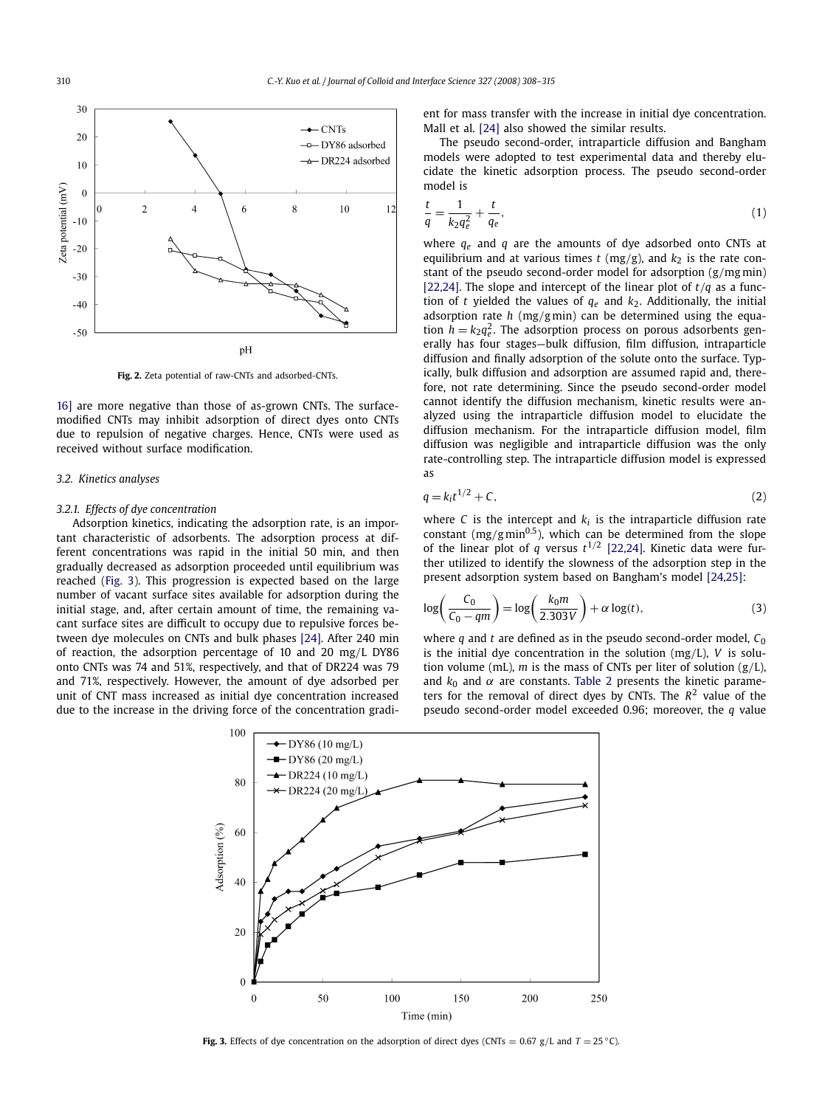<span id="page-2-0"></span>

**Fig. 2.** Zeta potential of raw-CNTs and adsorbed-CNTs.

[16\]](#page-7-0) are more negative than those of as-grown CNTs. The surfacemodified CNTs may inhibit adsorption of direct dyes onto CNTs due to repulsion of negative charges. Hence, CNTs were used as received without surface modification.

#### *3.2. Kinetics analyses*

#### *3.2.1. Effects of dye concentration*

Adsorption kinetics, indicating the adsorption rate, is an important characteristic of adsorbents. The adsorption process at different concentrations was rapid in the initial 50 min, and then gradually decreased as adsorption proceeded until equilibrium was reached (Fig. 3). This progression is expected based on the large number of vacant surface sites available for adsorption during the initial stage, and, after certain amount of time, the remaining vacant surface sites are difficult to occupy due to repulsive forces between dye molecules on CNTs and bulk phases [\[24\].](#page-7-0) After 240 min of reaction, the adsorption percentage of 10 and 20 mg*/*L DY86 onto CNTs was 74 and 51%, respectively, and that of DR224 was 79 and 71%, respectively. However, the amount of dye adsorbed per unit of CNT mass increased as initial dye concentration increased due to the increase in the driving force of the concentration gradient for mass transfer with the increase in initial dye concentration. Mall et al. [\[24\]](#page-7-0) also showed the similar results.

The pseudo second-order, intraparticle diffusion and Bangham models were adopted to test experimental data and thereby elucidate the kinetic adsorption process. The pseudo second-order model is

$$
\frac{t}{q} = \frac{1}{k_2 q_e^2} + \frac{t}{q_e},\tag{1}
$$

where *qe* and *q* are the amounts of dye adsorbed onto CNTs at equilibrium and at various times  $t$  (mg/g), and  $k_2$  is the rate constant of the pseudo second-order model for adsorption (g*/*mg min) [\[22,24\].](#page-7-0) The slope and intercept of the linear plot of *t/q* as a function of *t* yielded the values of  $q_e$  and  $k_2$ . Additionally, the initial adsorption rate *h* (mg*/*g min) can be determined using the equation  $h = k_2 q_e^2$ . The adsorption process on porous adsorbents generally has four stages—bulk diffusion, film diffusion, intraparticle diffusion and finally adsorption of the solute onto the surface. Typically, bulk diffusion and adsorption are assumed rapid and, therefore, not rate determining. Since the pseudo second-order model cannot identify the diffusion mechanism, kinetic results were analyzed using the intraparticle diffusion model to elucidate the diffusion mechanism. For the intraparticle diffusion model, film diffusion was negligible and intraparticle diffusion was the only rate-controlling step. The intraparticle diffusion model is expressed as

$$
q = k_i t^{1/2} + C,\t\t(2)
$$

where  $C$  is the intercept and  $k_i$  is the intraparticle diffusion rate constant  $(mg/g min<sup>0.5</sup>)$ , which can be determined from the slope of the linear plot of  $q$  versus  $t^{1/2}$  [\[22,24\].](#page-7-0) Kinetic data were further utilized to identify the slowness of the adsorption step in the present adsorption system based on Bangham's model [\[24,25\]:](#page-7-0)

$$
\log\left(\frac{C_0}{C_0 - qm}\right) = \log\left(\frac{k_0 m}{2.303 V}\right) + \alpha \log(t),\tag{3}
$$

where  $q$  and  $t$  are defined as in the pseudo second-order model,  $C_0$ is the initial dye concentration in the solution (mg*/*L), *V* is solution volume (mL), *m* is the mass of CNTs per liter of solution (g*/*L), and  $k_0$  and  $\alpha$  are constants. [Table 2](#page-3-0) presents the kinetic parameters for the removal of direct dyes by CNTs. The  $R^2$  value of the pseudo second-order model exceeded 0.96; moreover, the *q* value



**Fig. 3.** Effects of dye concentration on the adsorption of direct dyes (CNTs = 0.67 g/L and  $T = 25 °C$ ).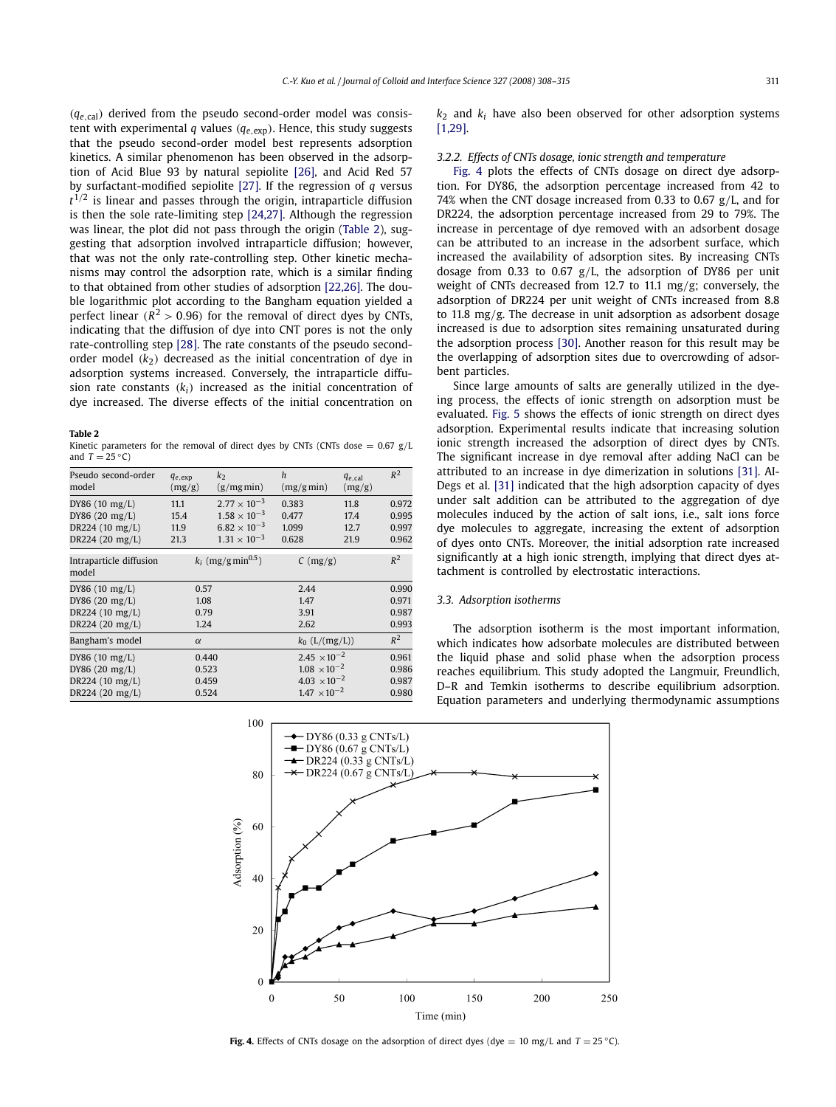<span id="page-3-0"></span>*(qe,*cal*)* derived from the pseudo second-order model was consistent with experimental *q* values *(qe,*exp*)*. Hence, this study suggests that the pseudo second-order model best represents adsorption kinetics. A similar phenomenon has been observed in the adsorption of Acid Blue 93 by natural sepiolite [\[26\],](#page-7-0) and Acid Red 57 by surfactant-modified sepiolite [\[27\].](#page-7-0) If the regression of *q* versus  $t^{1/2}$  is linear and passes through the origin, intraparticle diffusion is then the sole rate-limiting step [\[24,27\].](#page-7-0) Although the regression was linear, the plot did not pass through the origin (Table 2), suggesting that adsorption involved intraparticle diffusion; however, that was not the only rate-controlling step. Other kinetic mechanisms may control the adsorption rate, which is a similar finding to that obtained from other studies of adsorption [\[22,26\].](#page-7-0) The double logarithmic plot according to the Bangham equation yielded a perfect linear  $(R^2 > 0.96)$  for the removal of direct dyes by CNTs, indicating that the diffusion of dye into CNT pores is not the only rate-controlling step [\[28\].](#page-7-0) The rate constants of the pseudo secondorder model  $(k_2)$  decreased as the initial concentration of dye in adsorption systems increased. Conversely, the intraparticle diffusion rate constants  $(k_i)$  increased as the initial concentration of dye increased. The diverse effects of the initial concentration on

#### **Table 2**

Kinetic parameters for the removal of direct dyes by CNTs (CNTs dose  $= 0.67$  g/L and  $T = 25 °C$ 

| Pseudo second-order<br>model     | $q_{e, \exp}$<br>(mg/g) | k <sub>2</sub><br>$(g/mg \min)$  | h<br>(mg/gmin)                  | $q_{e,cal}$<br>(mg/g) | $R^2$ |
|----------------------------------|-------------------------|----------------------------------|---------------------------------|-----------------------|-------|
| DY86(10 mg/L)                    | 11.1                    | $2.77 \times 10^{-3}$            | 0.383                           | 11.8                  | 0.972 |
| DY86 (20 mg/L)                   | 15.4                    | $1.58 \times 10^{-3}$            | 0.477                           | 17.4                  | 0.995 |
| DR224 (10 mg/L)                  | 11.9                    | $6.82 \times 10^{-3}$            | 1.099                           | 12.7                  | 0.997 |
| DR224 (20 mg/L)                  | 21.3                    | $1.31 \times 10^{-3}$            | 0.628                           | 21.9                  | 0.962 |
| Intraparticle diffusion<br>model |                         | $k_i$ (mg/g min <sup>0.5</sup> ) | $C \left( \frac{mg}{g} \right)$ |                       | $R^2$ |
| DY86 $(10 \text{ mg/L})$         | 0.57                    |                                  | 2.44                            |                       | 0.990 |
| DY86 (20 mg/L)                   | 1.08                    |                                  | 1.47                            |                       | 0.971 |
| DR224 (10 mg/L)                  | 0.79                    |                                  | 3.91                            |                       | 0.987 |
| DR224 (20 mg/L)                  | 1.24                    |                                  | 2.62                            |                       | 0.993 |
| Bangham's model                  | $\alpha$                |                                  | $k_0$ (L/(mg/L))                |                       | $R^2$ |
| DY86 $(10 \text{ mg/L})$         | 0.440                   |                                  | $2.45 \times 10^{-2}$           |                       | 0.961 |
| DY86 (20 mg/L)                   | 0.523                   |                                  | $1.08 \times 10^{-2}$           |                       | 0.986 |
| DR224 (10 mg/L)                  | 0.459                   |                                  | $4.03 \times 10^{-2}$           |                       | 0.987 |
| DR224 (20 mg/L)                  | 0.524                   |                                  | $1.47 \times 10^{-2}$           |                       | 0.980 |
|                                  |                         |                                  |                                 |                       |       |

 $k<sub>2</sub>$  and  $k<sub>i</sub>$  have also been observed for other adsorption systems [\[1,29\].](#page-6-0)

#### *3.2.2. Effects of CNTs dosage, ionic strength and temperature*

Fig. 4 plots the effects of CNTs dosage on direct dye adsorption. For DY86, the adsorption percentage increased from 42 to 74% when the CNT dosage increased from 0.33 to 0.67 g*/*L, and for DR224, the adsorption percentage increased from 29 to 79%. The increase in percentage of dye removed with an adsorbent dosage can be attributed to an increase in the adsorbent surface, which increased the availability of adsorption sites. By increasing CNTs dosage from 0.33 to 0.67 g*/*L, the adsorption of DY86 per unit weight of CNTs decreased from 12.7 to 11.1 mg*/*g; conversely, the adsorption of DR224 per unit weight of CNTs increased from 8.8 to 11.8 mg*/*g. The decrease in unit adsorption as adsorbent dosage increased is due to adsorption sites remaining unsaturated during the adsorption process [\[30\].](#page-7-0) Another reason for this result may be the overlapping of adsorption sites due to overcrowding of adsorbent particles.

Since large amounts of salts are generally utilized in the dyeing process, the effects of ionic strength on adsorption must be evaluated. [Fig. 5](#page-4-0) shows the effects of ionic strength on direct dyes adsorption. Experimental results indicate that increasing solution ionic strength increased the adsorption of direct dyes by CNTs. The significant increase in dye removal after adding NaCl can be attributed to an increase in dye dimerization in solutions [\[31\].](#page-7-0) AI-Degs et al. [\[31\]](#page-7-0) indicated that the high adsorption capacity of dyes under salt addition can be attributed to the aggregation of dye molecules induced by the action of salt ions, i.e., salt ions force dye molecules to aggregate, increasing the extent of adsorption of dyes onto CNTs. Moreover, the initial adsorption rate increased significantly at a high ionic strength, implying that direct dyes attachment is controlled by electrostatic interactions.

#### *3.3. Adsorption isotherms*

The adsorption isotherm is the most important information, which indicates how adsorbate molecules are distributed between the liquid phase and solid phase when the adsorption process reaches equilibrium. This study adopted the Langmuir, Freundlich, D–R and Temkin isotherms to describe equilibrium adsorption. Equation parameters and underlying thermodynamic assumptions



**Fig. 4.** Effects of CNTs dosage on the adsorption of direct dyes (dye = 10 mg/L and  $T = 25 °C$ ).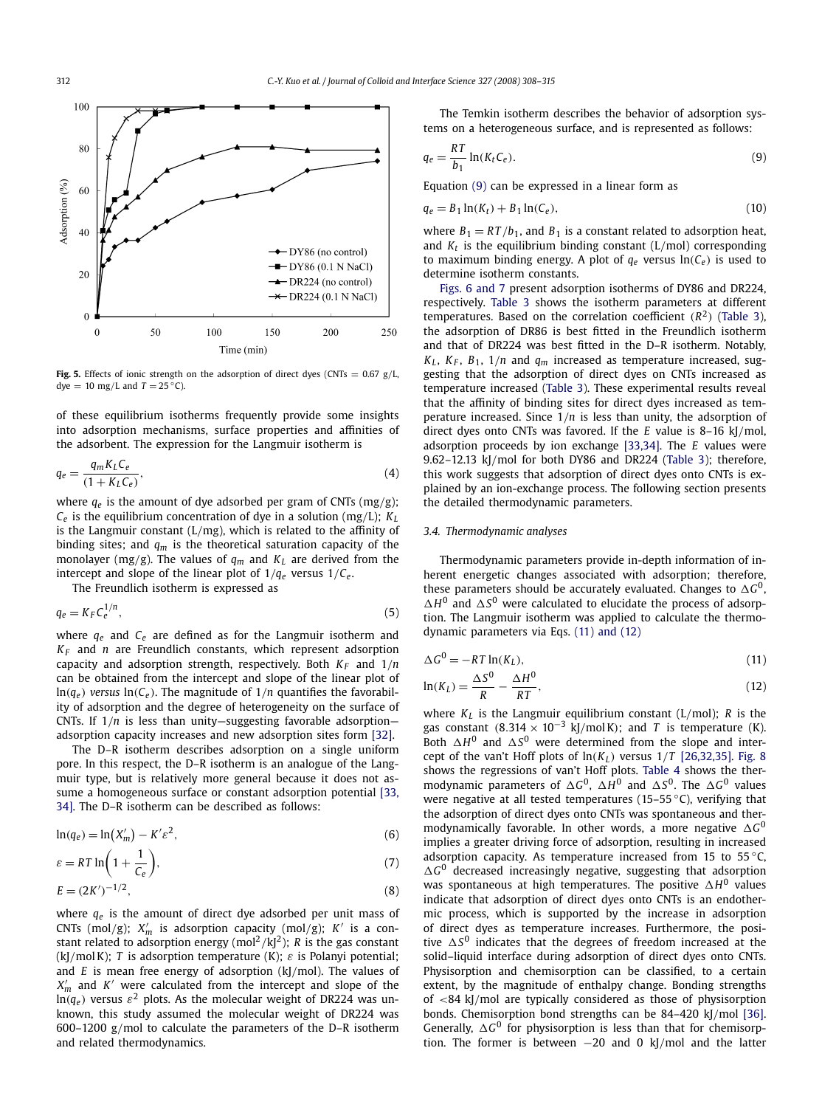<span id="page-4-0"></span>

**Fig. 5.** Effects of ionic strength on the adsorption of direct dyes (CNTs = 0.67 g*/*L, dye = 10 mg/L and  $T = 25$  °C).

of these equilibrium isotherms frequently provide some insights into adsorption mechanisms, surface properties and affinities of the adsorbent. The expression for the Langmuir isotherm is

$$
q_e = \frac{q_m K_L C_e}{(1 + K_L C_e)},\tag{4}
$$

where *qe* is the amount of dye adsorbed per gram of CNTs (mg*/*g);  $C_e$  is the equilibrium concentration of dye in a solution (mg/L);  $K_L$ is the Langmuir constant (L*/*mg), which is related to the affinity of binding sites; and *qm* is the theoretical saturation capacity of the monolayer (mg/g). The values of  $q_m$  and  $K_L$  are derived from the intercept and slope of the linear plot of  $1/q_e$  versus  $1/C_e$ .

The Freundlich isotherm is expressed as

$$
q_e = K_F C_e^{1/n},\tag{5}
$$

where *qe* and *Ce* are defined as for the Langmuir isotherm and *KF* and *n* are Freundlich constants, which represent adsorption capacity and adsorption strength, respectively. Both  $K_F$  and  $1/n$ can be obtained from the intercept and slope of the linear plot of  $ln(q_e)$  *versus*  $ln(C_e)$ . The magnitude of  $1/n$  quantifies the favorability of adsorption and the degree of heterogeneity on the surface of CNTs. If 1*/n* is less than unity—suggesting favorable adsorption adsorption capacity increases and new adsorption sites form [\[32\].](#page-7-0)

The D–R isotherm describes adsorption on a single uniform pore. In this respect, the D–R isotherm is an analogue of the Langmuir type, but is relatively more general because it does not assume a homogeneous surface or constant adsorption potential [\[33,](#page-7-0) [34\].](#page-7-0) The D–R isotherm can be described as follows:

$$
\ln(q_e) = \ln(X'_m) - K' \varepsilon^2,\tag{6}
$$

$$
\varepsilon = RT \ln \left( 1 + \frac{1}{C_e} \right),\tag{7}
$$

$$
E = (2K')^{-1/2},
$$
\n(8)

where *qe* is the amount of direct dye adsorbed per unit mass of CNTs (mol*/*g); *X <sup>m</sup>* is adsorption capacity (mol*/*g); *K* is a constant related to adsorption energy (mol<sup>2</sup>/kJ<sup>2</sup>); *R* is the gas constant (kJ*/*mol K); *T* is adsorption temperature (K); *ε* is Polanyi potential; and *E* is mean free energy of adsorption (kJ*/*mol). The values of *X <sup>m</sup>* and *K* were calculated from the intercept and slope of the  $\ln(q_e)$  versus  $\varepsilon^2$  plots. As the molecular weight of DR224 was unknown, this study assumed the molecular weight of DR224 was 600–1200 g*/*mol to calculate the parameters of the D–R isotherm and related thermodynamics.

The Temkin isotherm describes the behavior of adsorption systems on a heterogeneous surface, and is represented as follows:

$$
q_e = \frac{RT}{b_1} \ln(K_t C_e). \tag{9}
$$

Equation (9) can be expressed in a linear form as

$$
q_e = B_1 \ln(K_t) + B_1 \ln(C_e),
$$
\n(10)

where  $B_1 = RT/b_1$ , and  $B_1$  is a constant related to adsorption heat, and  $K_t$  is the equilibrium binding constant  $(L/mol)$  corresponding to maximum binding energy. A plot of  $q_e$  versus  $ln(C_e)$  is used to determine isotherm constants.

[Figs. 6 and 7](#page-5-0) present adsorption isotherms of DY86 and DR224, respectively. [Table 3](#page-6-0) shows the isotherm parameters at different temperatures. Based on the correlation coefficient  $(R^2)$  [\(Table 3\)](#page-6-0), the adsorption of DR86 is best fitted in the Freundlich isotherm and that of DR224 was best fitted in the D–R isotherm. Notably,  $K_L$ ,  $K_F$ ,  $B_1$ ,  $1/n$  and  $q_m$  increased as temperature increased, suggesting that the adsorption of direct dyes on CNTs increased as temperature increased [\(Table 3\)](#page-6-0). These experimental results reveal that the affinity of binding sites for direct dyes increased as temperature increased. Since 1*/n* is less than unity, the adsorption of direct dyes onto CNTs was favored. If the *E* value is 8–16 kJ*/*mol, adsorption proceeds by ion exchange [\[33,34\].](#page-7-0) The *E* values were 9.62–12.13 kJ*/*mol for both DY86 and DR224 [\(Table 3\)](#page-6-0); therefore, this work suggests that adsorption of direct dyes onto CNTs is explained by an ion-exchange process. The following section presents the detailed thermodynamic parameters.

#### *3.4. Thermodynamic analyses*

Thermodynamic parameters provide in-depth information of inherent energetic changes associated with adsorption; therefore, these parameters should be accurately evaluated. Changes to  $\Delta G^0$ ,  $\Delta H^0$  and  $\Delta S^0$  were calculated to elucidate the process of adsorption. The Langmuir isotherm was applied to calculate the thermodynamic parameters via Eqs. (11) and (12)

$$
\Delta G^0 = -RT \ln(K_L),\tag{11}
$$

$$
\ln(K_L) = \frac{\Delta S^0}{R} - \frac{\Delta H^0}{RT},\tag{12}
$$

where  $K_L$  is the Langmuir equilibrium constant (L/mol); *R* is the gas constant  $(8.314 \times 10^{-3} \text{ kJ/mol K})$ ; and *T* is temperature (K). Both  $\Delta H^0$  and  $\Delta S^0$  were determined from the slope and intercept of the van't Hoff plots of  $ln(K_L)$  versus  $1/T$  [\[26,32,35\].](#page-7-0) [Fig. 8](#page-6-0) shows the regressions of van't Hoff plots. [Table 4](#page-6-0) shows the thermodynamic parameters of  $\Delta G^0$ ,  $\Delta H^0$  and  $\Delta S^0$ . The  $\Delta G^0$  values were negative at all tested temperatures (15–55 $\degree$ C), verifying that the adsorption of direct dyes onto CNTs was spontaneous and thermodynamically favorable. In other words, a more negative  $\Delta G^0$ implies a greater driving force of adsorption, resulting in increased adsorption capacity. As temperature increased from 15 to 55 $\degree$ C,  $\Delta G^0$  decreased increasingly negative, suggesting that adsorption was spontaneous at high temperatures. The positive  $\Delta H^0$  values indicate that adsorption of direct dyes onto CNTs is an endothermic process, which is supported by the increase in adsorption of direct dyes as temperature increases. Furthermore, the positive  $\Delta S^0$  indicates that the degrees of freedom increased at the solid–liquid interface during adsorption of direct dyes onto CNTs. Physisorption and chemisorption can be classified, to a certain extent, by the magnitude of enthalpy change. Bonding strengths of *<*84 kJ*/*mol are typically considered as those of physisorption bonds. Chemisorption bond strengths can be 84–420 kJ*/*mol [\[36\].](#page-7-0) Generally,  $\Delta G^0$  for physisorption is less than that for chemisorption. The former is between −20 and 0 kJ*/*mol and the latter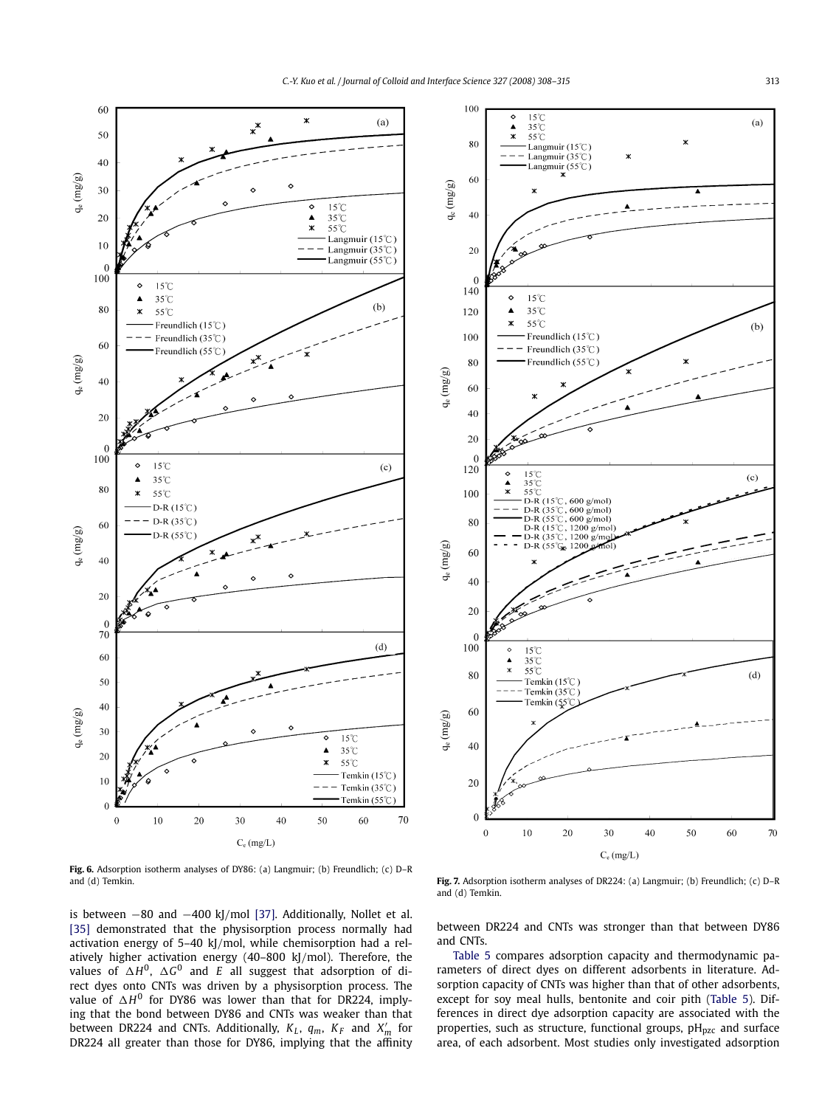<span id="page-5-0"></span>

**Fig. 6.** Adsorption isotherm analyses of DY86: (a) Langmuir; (b) Freundlich; (c) D–R and (d) Temkin.

is between −80 and −400 kJ*/*mol [\[37\].](#page-7-0) Additionally, Nollet et al. [\[35\]](#page-7-0) demonstrated that the physisorption process normally had activation energy of 5–40 kJ*/*mol, while chemisorption had a relatively higher activation energy (40–800 kJ*/*mol). Therefore, the values of  $\Delta H^0$ ,  $\Delta G^0$  and  $E$  all suggest that adsorption of direct dyes onto CNTs was driven by a physisorption process. The value of  $\Delta H^0$  for DY86 was lower than that for DR224, implying that the bond between DY86 and CNTs was weaker than that between DR224 and CNTs. Additionally,  $K_L$ ,  $q_m$ ,  $K_F$  and  $X'_m$  for DR224 all greater than those for DY86, implying that the affinity



**Fig. 7.** Adsorption isotherm analyses of DR224: (a) Langmuir; (b) Freundlich; (c) D–R and (d) Temkin.

between DR224 and CNTs was stronger than that between DY86 and CNTs.

[Table 5](#page-6-0) compares adsorption capacity and thermodynamic parameters of direct dyes on different adsorbents in literature. Adsorption capacity of CNTs was higher than that of other adsorbents, except for soy meal hulls, bentonite and coir pith [\(Table 5\)](#page-6-0). Differences in direct dye adsorption capacity are associated with the properties, such as structure, functional groups,  $pH<sub>DZC</sub>$  and surface area, of each adsorbent. Most studies only investigated adsorption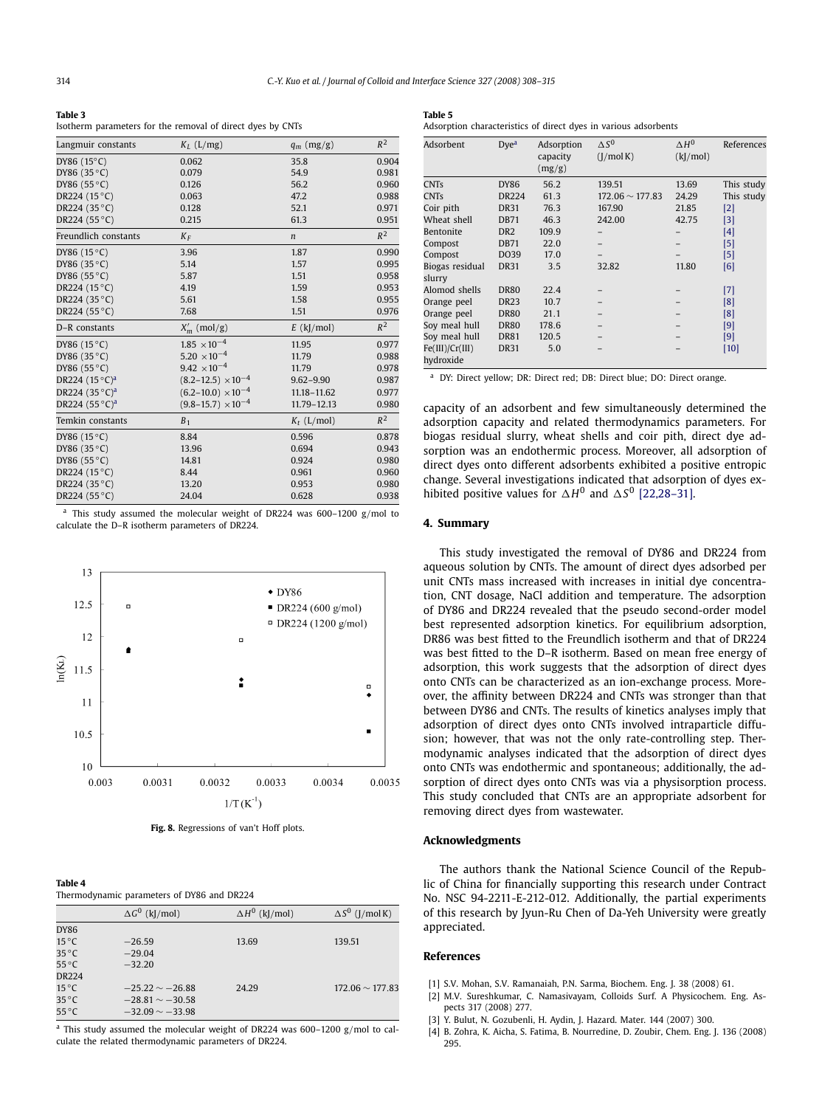<span id="page-6-0"></span>

| п<br>ı. | c |
|---------|---|
|---------|---|

Isotherm parameters for the removal of direct dyes by CNTs

| Langmuir constants             | $K_L$ (L/mg)                  | $q_m$ (mg/g)     | $R^2$          |
|--------------------------------|-------------------------------|------------------|----------------|
| DY86 (15°C)                    | 0.062                         | 35.8             | 0.904          |
| DY86 (35 °C)                   | 0.079                         | 54.9             | 0.981          |
| DY86 (55 °C)                   | 0.126                         | 56.2             | 0.960          |
| DR224 (15 °C)                  | 0.063                         | 47.2             | 0.988          |
| DR224 (35 °C)                  | 0.128                         | 52.1             | 0.971          |
| DR224 (55 °C)                  | 0.215                         | 61.3             | 0.951          |
| Freundlich constants           | $K_F$                         | $\boldsymbol{n}$ | $R^2$          |
| DY86 (15 °C)                   | 3.96                          | 1.87             | 0.990          |
| DY86 (35 °C)                   | 5.14                          | 1.57             | 0.995          |
| DY86 (55 °C)                   | 5.87                          | 1.51             | 0.958          |
| DR224 (15 °C)                  | 4.19                          | 1.59             | 0.953          |
| DR224 (35 °C)                  | 5.61                          | 1.58             | 0.955          |
| DR224 (55 °C)                  | 7.68                          | 1.51             | 0.976          |
| D-R constants                  | $X'_m$ (mol/g)                | $E$ (kJ/mol)     | $R^2$          |
| DY86 (15 °C)                   | $1.85 \times 10^{-4}$         | 11.95            | 0.977          |
| DY86 (35 °C)                   | $5.20 \times 10^{-4}$         | 11.79            | 0.988          |
| DY86 (55 °C)                   | $9.42 \times 10^{-4}$         | 11.79            | 0.978          |
| DR224 $(15^{\circ}C)^{a}$      | $(8.2 - 12.5) \times 10^{-4}$ | $9.62 - 9.90$    | 0.987          |
| DR224 $(35^{\circ}C)^{a}$      | $(6.2-10.0) \times 10^{-4}$   | 11.18-11.62      | 0.977          |
| DR224 $(55^{\circ}C)^{a}$      | $(9.8-15.7) \times 10^{-4}$   | 11.79-12.13      | 0.980          |
| Temkin constants               | $B_1$                         | $K_t$ (L/mol)    | $R^2$          |
| DY86 (15 °C)                   | 8.84                          | 0.596            | 0.878          |
| DY86 (35 °C)                   | 13.96                         | 0.694            | 0.943          |
| DY86 (55 °C)                   | 14.81                         | 0.924            | 0.980          |
| DR224 (15 °C)                  |                               |                  |                |
|                                | 8.44                          | 0.961            | 0.960          |
| DR224 (35 °C)<br>DR224 (55 °C) | 13.20                         | 0.953<br>0.628   | 0.980<br>0.938 |

This study assumed the molecular weight of DR224 was 600-1200 g/mol to calculate the D–R isotherm parameters of DR224.



**Fig. 8.** Regressions of van't Hoff plots.

| Table 4                                    |  |  |
|--------------------------------------------|--|--|
| Thermodunamic parameters of DV96 and DP224 |  |  |

**Table 4**

| Thermodynamic parameters of DT60 and DKZZ+ |  |  |  |
|--------------------------------------------|--|--|--|
|                                            |  |  |  |
|                                            |  |  |  |

|                | $\Delta G^0$ (kJ/mol) | $\Delta H^0$ (kJ/mol) | $\Delta S^0$ (J/mol K) |
|----------------|-----------------------|-----------------------|------------------------|
| <b>DY86</b>    |                       |                       |                        |
| $15^{\circ}$ C | $-26.59$              | 13.69                 | 139.51                 |
| $35^{\circ}$ C | $-29.04$              |                       |                        |
| 55 °C          | $-32.20$              |                       |                        |
| <b>DR224</b>   |                       |                       |                        |
| $15^{\circ}$ C | $-25.22 \sim -26.88$  | 24.29                 | $172.06 \sim 177.83$   |
| $35^{\circ}$ C | $-28.81 \sim -30.58$  |                       |                        |
| $55^{\circ}$ C | $-32.09 \sim -33.98$  |                       |                        |

<sup>a</sup> This study assumed the molecular weight of DR224 was 600–1200 g*/*mol to calculate the related thermodynamic parameters of DR224.

| Table 5 |                                                                 |  |  |  |  |
|---------|-----------------------------------------------------------------|--|--|--|--|
|         | Adsorption characteristics of direct dyes in various adsorbents |  |  |  |  |

| Adsorbent                    | $Dve^a$         | Adsorption<br>capacity<br>(mg/g) | $\Delta S^0$<br>(J/mol K) | $\Delta H^0$<br>(k]/mol) | References |
|------------------------------|-----------------|----------------------------------|---------------------------|--------------------------|------------|
| <b>CNTs</b>                  | <b>DY86</b>     | 56.2                             | 139.51                    | 13.69                    | This study |
| <b>CNTs</b>                  | <b>DR224</b>    | 61.3                             | $172.06 \sim 177.83$      | 24.29                    | This study |
| Coir pith                    | <b>DR31</b>     | 76.3                             | 167.90                    | 21.85                    | $[2]$      |
| Wheat shell                  | <b>DB71</b>     | 46.3                             | 242.00                    | 42.75                    | $[3]$      |
| Bentonite                    | DR <sub>2</sub> | 109.9                            |                           |                          | $[4]$      |
| Compost                      | <b>DB71</b>     | 22.0                             |                           |                          | [5]        |
| Compost                      | DO39            | 17.0                             |                           |                          | [5]        |
| Biogas residual<br>slurry    | <b>DR31</b>     | 3.5                              | 32.82                     | 11.80                    | [6]        |
| Alomod shells                | <b>DR80</b>     | 22.4                             |                           |                          | $[7]$      |
| Orange peel                  | <b>DR23</b>     | 10.7                             |                           |                          | [8]        |
| Orange peel                  | <b>DR80</b>     | 21.1                             |                           |                          | [8]        |
| Soy meal hull                | <b>DR80</b>     | 178.6                            |                           |                          | [9]        |
| Soy meal hull                | <b>DR81</b>     | 120.5                            |                           |                          | [9]        |
| Fe(III)/Cr(III)<br>hydroxide | <b>DR31</b>     | 5.0                              |                           |                          | $[10]$     |

<sup>a</sup> DY: Direct yellow; DR: Direct red; DB: Direct blue; DO: Direct orange.

capacity of an adsorbent and few simultaneously determined the adsorption capacity and related thermodynamics parameters. For biogas residual slurry, wheat shells and coir pith, direct dye adsorption was an endothermic process. Moreover, all adsorption of direct dyes onto different adsorbents exhibited a positive entropic change. Several investigations indicated that adsorption of dyes exhibited positive values for  $\Delta H^0$  and  $\Delta S^0$  [\[22,28–31\].](#page-7-0)

#### **4. Summary**

This study investigated the removal of DY86 and DR224 from aqueous solution by CNTs. The amount of direct dyes adsorbed per unit CNTs mass increased with increases in initial dye concentration, CNT dosage, NaCl addition and temperature. The adsorption of DY86 and DR224 revealed that the pseudo second-order model best represented adsorption kinetics. For equilibrium adsorption, DR86 was best fitted to the Freundlich isotherm and that of DR224 was best fitted to the D–R isotherm. Based on mean free energy of adsorption, this work suggests that the adsorption of direct dyes onto CNTs can be characterized as an ion-exchange process. Moreover, the affinity between DR224 and CNTs was stronger than that between DY86 and CNTs. The results of kinetics analyses imply that adsorption of direct dyes onto CNTs involved intraparticle diffusion; however, that was not the only rate-controlling step. Thermodynamic analyses indicated that the adsorption of direct dyes onto CNTs was endothermic and spontaneous; additionally, the adsorption of direct dyes onto CNTs was via a physisorption process. This study concluded that CNTs are an appropriate adsorbent for removing direct dyes from wastewater.

#### **Acknowledgments**

The authors thank the National Science Council of the Republic of China for financially supporting this research under Contract No. NSC 94-2211-E-212-012. Additionally, the partial experiments of this research by Jyun-Ru Chen of Da-Yeh University were greatly appreciated.

#### **References**

- [1] S.V. Mohan, S.V. Ramanaiah, P.N. Sarma, Biochem. Eng. J. 38 (2008) 61.
- [2] M.V. Sureshkumar, C. Namasivayam, Colloids Surf. A Physicochem. Eng. Aspects 317 (2008) 277.
- [3] Y. Bulut, N. Gozubenli, H. Aydin, J. Hazard. Mater. 144 (2007) 300.
- [4] B. Zohra, K. Aicha, S. Fatima, B. Nourredine, D. Zoubir, Chem. Eng. J. 136 (2008) 295.